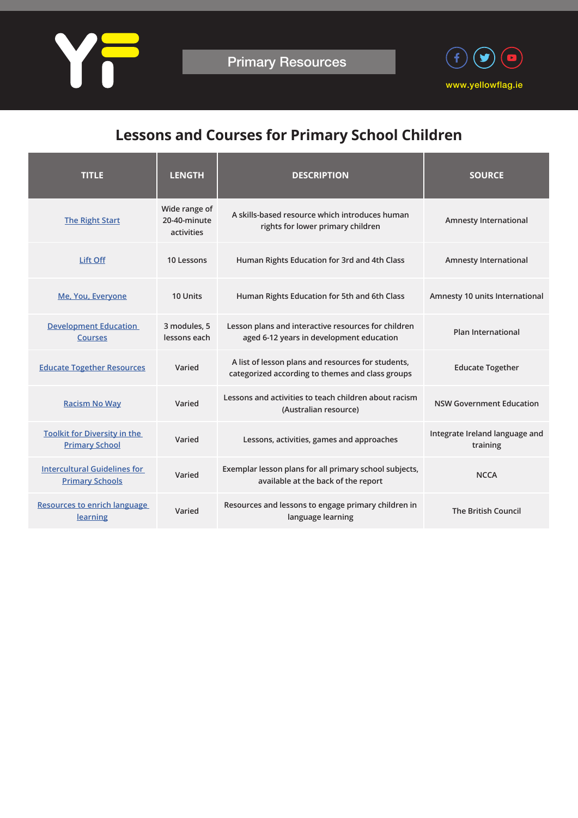



## **Lessons and Courses for Primary School Children**

| <b>TITLE</b>                                                  | <b>LENGTH</b>                               | <b>DESCRIPTION</b>                                                                                     | <b>SOURCE</b>                              |
|---------------------------------------------------------------|---------------------------------------------|--------------------------------------------------------------------------------------------------------|--------------------------------------------|
| <b>The Right Start</b>                                        | Wide range of<br>20-40-minute<br>activities | A skills-based resource which introduces human<br>rights for lower primary children                    | <b>Amnesty International</b>               |
| Lift Off                                                      | 10 Lessons                                  | Human Rights Education for 3rd and 4th Class                                                           | <b>Amnesty International</b>               |
| Me, You, Everyone                                             | 10 Units                                    | Human Rights Education for 5th and 6th Class                                                           | Amnesty 10 units International             |
| <b>Development Education</b><br><b>Courses</b>                | 3 modules, 5<br>lessons each                | Lesson plans and interactive resources for children<br>aged 6-12 years in development education        | <b>Plan International</b>                  |
| <b>Educate Together Resources</b>                             | Varied                                      | A list of lesson plans and resources for students,<br>categorized according to themes and class groups | <b>Educate Together</b>                    |
| <b>Racism No Way</b>                                          | Varied                                      | Lessons and activities to teach children about racism<br>(Australian resource)                         | <b>NSW Government Education</b>            |
| <b>Toolkit for Diversity in the</b><br><b>Primary School</b>  | Varied                                      | Lessons, activities, games and approaches                                                              | Integrate Ireland language and<br>training |
| <b>Intercultural Guidelines for</b><br><b>Primary Schools</b> | Varied                                      | Exemplar lesson plans for all primary school subjects,<br>available at the back of the report          | <b>NCCA</b>                                |
| <b>Resources to enrich language</b><br>learning               | Varied                                      | Resources and lessons to engage primary children in<br>language learning                               | <b>The British Council</b>                 |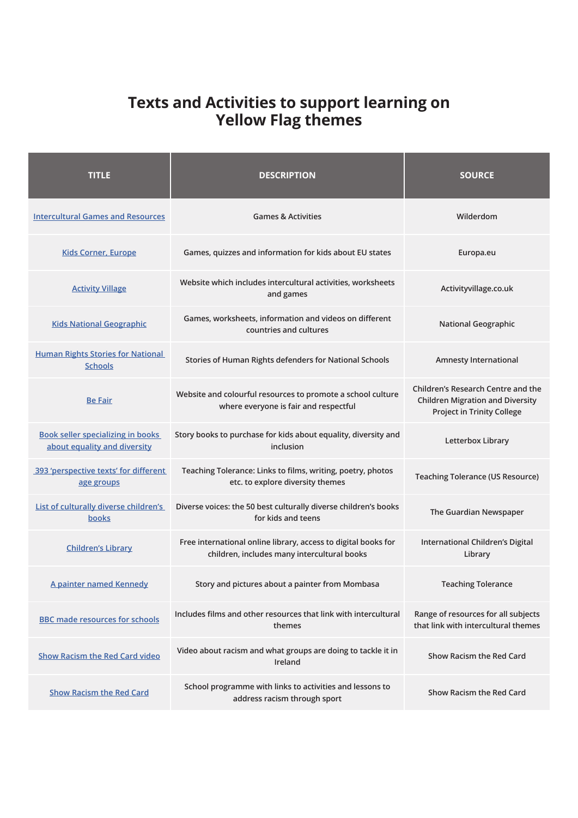## **Texts and Activities to support learning on Yellow Flag themes**

| <b>TITLE</b>                                                             | <b>DESCRIPTION</b>                                                                                            | <b>SOURCE</b>                                                                                                      |
|--------------------------------------------------------------------------|---------------------------------------------------------------------------------------------------------------|--------------------------------------------------------------------------------------------------------------------|
| <b>Intercultural Games and Resources</b>                                 | <b>Games &amp; Activities</b>                                                                                 | Wilderdom                                                                                                          |
| <b>Kids Corner, Europe</b>                                               | Games, quizzes and information for kids about EU states                                                       | Europa.eu                                                                                                          |
| <b>Activity Village</b>                                                  | Website which includes intercultural activities, worksheets<br>and games                                      | Activityvillage.co.uk                                                                                              |
| <b>Kids National Geographic</b>                                          | Games, worksheets, information and videos on different<br>countries and cultures                              | <b>National Geographic</b>                                                                                         |
| <b>Human Rights Stories for National</b><br><b>Schools</b>               | Stories of Human Rights defenders for National Schools                                                        | Amnesty International                                                                                              |
| <b>Be Fair</b>                                                           | Website and colourful resources to promote a school culture<br>where everyone is fair and respectful          | Children's Research Centre and the<br><b>Children Migration and Diversity</b><br><b>Project in Trinity College</b> |
| <b>Book seller specializing in books</b><br>about equality and diversity | Story books to purchase for kids about equality, diversity and<br>inclusion                                   | Letterbox Library                                                                                                  |
| 393 'perspective texts' for different<br>age groups                      | Teaching Tolerance: Links to films, writing, poetry, photos<br>etc. to explore diversity themes               | <b>Teaching Tolerance (US Resource)</b>                                                                            |
| List of culturally diverse children's<br>books                           | Diverse voices: the 50 best culturally diverse children's books<br>for kids and teens                         | The Guardian Newspaper                                                                                             |
| <b>Children's Library</b>                                                | Free international online library, access to digital books for<br>children, includes many intercultural books | International Children's Digital<br>Library                                                                        |
| A painter named Kennedy                                                  | Story and pictures about a painter from Mombasa                                                               | <b>Teaching Tolerance</b>                                                                                          |
| <b>BBC made resources for schools</b>                                    | Includes films and other resources that link with intercultural<br>themes                                     | Range of resources for all subjects<br>that link with intercultural themes                                         |
| <b>Show Racism the Red Card video</b>                                    | Video about racism and what groups are doing to tackle it in<br>Ireland                                       | Show Racism the Red Card                                                                                           |
| <b>Show Racism the Red Card</b>                                          | School programme with links to activities and lessons to<br>address racism through sport                      | <b>Show Racism the Red Card</b>                                                                                    |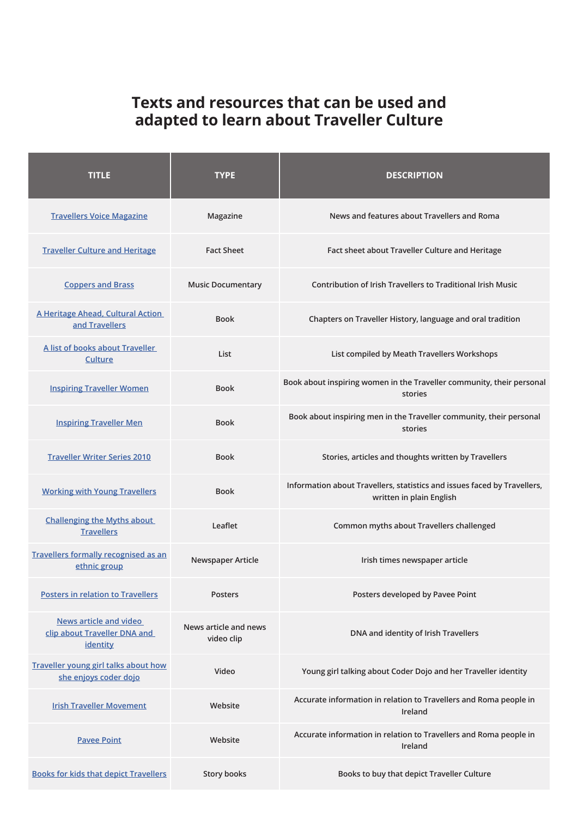## **Texts and resources that can be used and adapted to learn about Traveller Culture**

| <b>TITLE</b>                                                              | <b>TYPE</b>                         | <b>DESCRIPTION</b>                                                                                   |  |
|---------------------------------------------------------------------------|-------------------------------------|------------------------------------------------------------------------------------------------------|--|
| <b>Travellers Voice Magazine</b>                                          | Magazine                            | News and features about Travellers and Roma                                                          |  |
| <b>Traveller Culture and Heritage</b>                                     | <b>Fact Sheet</b>                   | Fact sheet about Traveller Culture and Heritage                                                      |  |
| <b>Coppers and Brass</b>                                                  | <b>Music Documentary</b>            | Contribution of Irish Travellers to Traditional Irish Music                                          |  |
| A Heritage Ahead, Cultural Action<br>and Travellers                       | <b>Book</b>                         | Chapters on Traveller History, language and oral tradition                                           |  |
| A list of books about Traveller<br>Culture                                | List                                | List compiled by Meath Travellers Workshops                                                          |  |
| <b>Inspiring Traveller Women</b>                                          | <b>Book</b>                         | Book about inspiring women in the Traveller community, their personal<br>stories                     |  |
| <b>Inspiring Traveller Men</b>                                            | <b>Book</b>                         | Book about inspiring men in the Traveller community, their personal<br>stories                       |  |
| <b>Traveller Writer Series 2010</b>                                       | <b>Book</b>                         | Stories, articles and thoughts written by Travellers                                                 |  |
| <b>Working with Young Travellers</b>                                      | <b>Book</b>                         | Information about Travellers, statistics and issues faced by Travellers,<br>written in plain English |  |
| <b>Challenging the Myths about</b><br><b>Travellers</b>                   | Leaflet                             | Common myths about Travellers challenged                                                             |  |
| <b>Travellers formally recognised as an</b><br>ethnic group               | Newspaper Article                   | Irish times newspaper article                                                                        |  |
| <b>Posters in relation to Travellers</b>                                  | <b>Posters</b>                      | Posters developed by Pavee Point                                                                     |  |
| <b>News article and video</b><br>clip about Traveller DNA and<br>identity | News article and news<br>video clip | DNA and identity of Irish Travellers                                                                 |  |
| <b>Traveller young girl talks about how</b><br>she enjoys coder dojo      | Video                               | Young girl talking about Coder Dojo and her Traveller identity                                       |  |
| <b>Irish Traveller Movement</b>                                           | Website                             | Accurate information in relation to Travellers and Roma people in<br>Ireland                         |  |
| <b>Pavee Point</b>                                                        | Website                             | Accurate information in relation to Travellers and Roma people in<br>Ireland                         |  |
| <b>Books for kids that depict Travellers</b>                              | <b>Story books</b>                  | Books to buy that depict Traveller Culture                                                           |  |